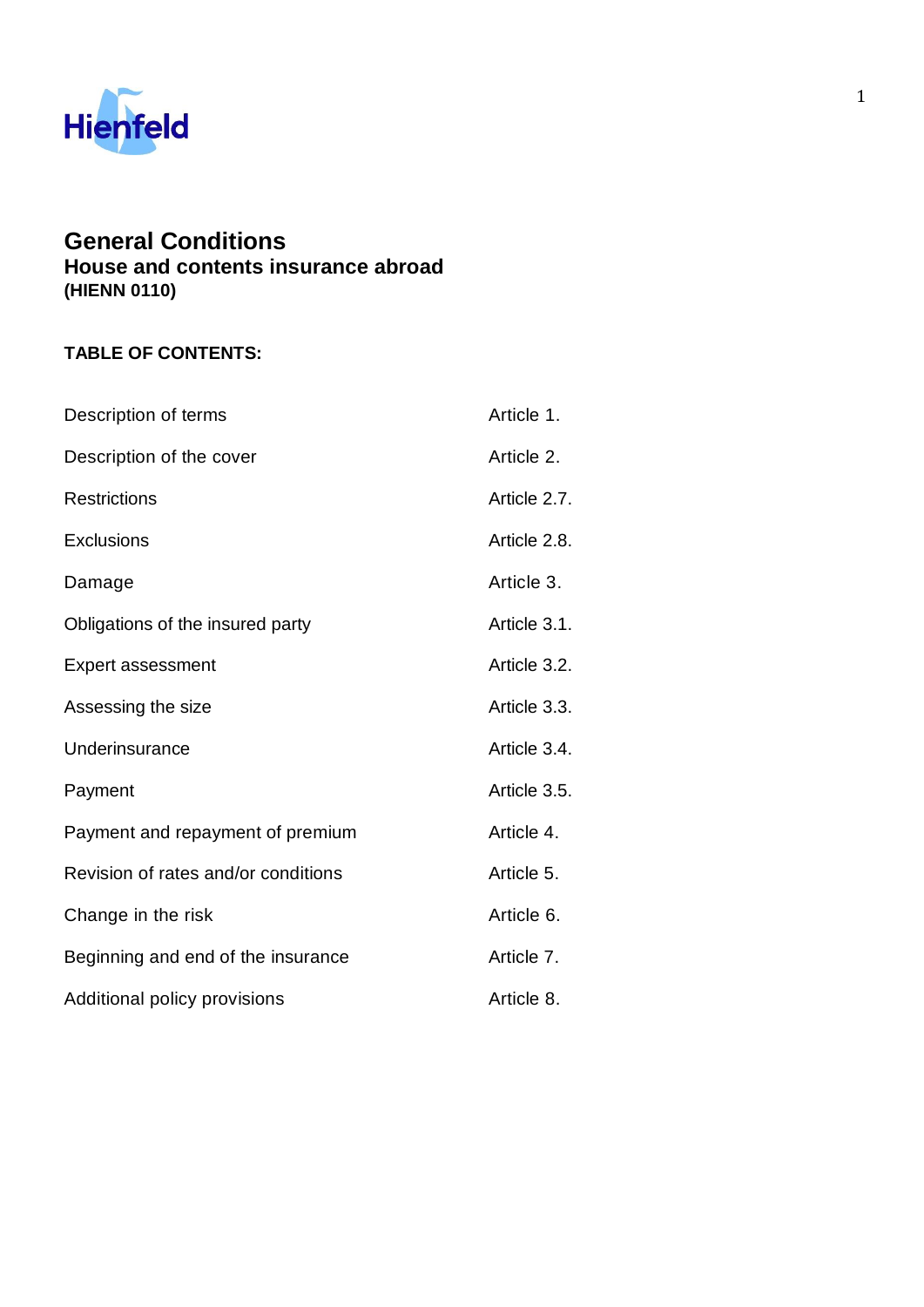

# **General Conditions**

**House and contents insurance abroad (HIENN 0110)**

## **TABLE OF CONTENTS:**

| Description of terms                | Article 1.   |
|-------------------------------------|--------------|
| Description of the cover            | Article 2.   |
| <b>Restrictions</b>                 | Article 2.7. |
| Exclusions                          | Article 2.8. |
| Damage                              | Article 3.   |
| Obligations of the insured party    | Article 3.1. |
| <b>Expert assessment</b>            | Article 3.2. |
| Assessing the size                  | Article 3.3. |
| Underinsurance                      | Article 3.4. |
| Payment                             | Article 3.5. |
| Payment and repayment of premium    | Article 4.   |
| Revision of rates and/or conditions | Article 5.   |
| Change in the risk                  | Article 6.   |
| Beginning and end of the insurance  | Article 7.   |
| Additional policy provisions        | Article 8.   |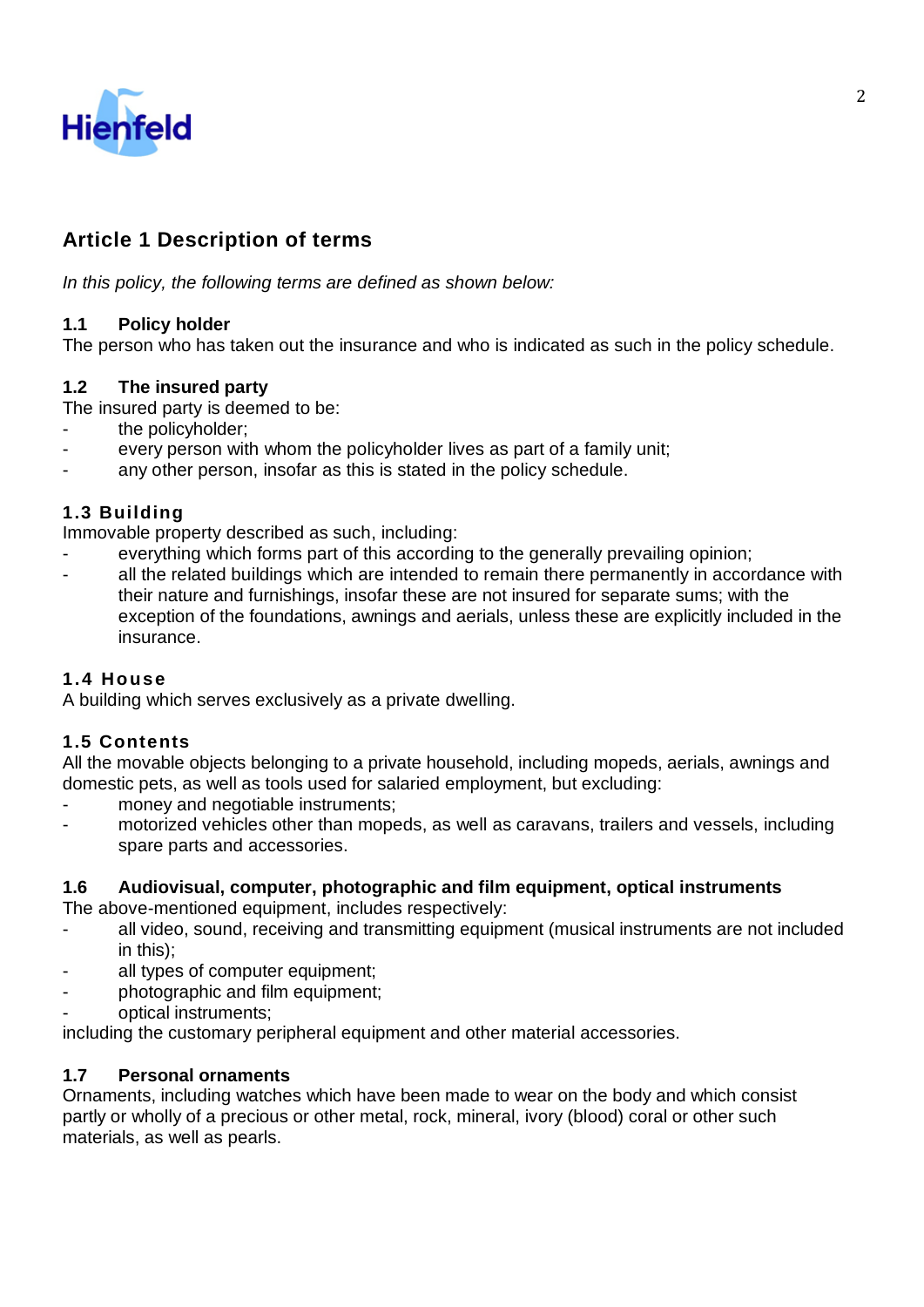

## **Article 1 Description of terms**

*In this policy, the following terms are defined as shown below:*

### **1.1 Policy holder**

The person who has taken out the insurance and who is indicated as such in the policy schedule.

## **1.2 The insured party**

The insured party is deemed to be:

- the policyholder;
- every person with whom the policyholder lives as part of a family unit;
- any other person, insofar as this is stated in the policy schedule.

### **1.3 Building**

Immovable property described as such, including:

- everything which forms part of this according to the generally prevailing opinion;
- all the related buildings which are intended to remain there permanently in accordance with their nature and furnishings, insofar these are not insured for separate sums; with the exception of the foundations, awnings and aerials, unless these are explicitly included in the insurance.

#### **1.4 House**

A building which serves exclusively as a private dwelling.

#### **1.5 Contents**

All the movable objects belonging to a private household, including mopeds, aerials, awnings and domestic pets, as well as tools used for salaried employment, but excluding:

- money and negotiable instruments;
- motorized vehicles other than mopeds, as well as caravans, trailers and vessels, including spare parts and accessories.

#### **1.6 Audiovisual, computer, photographic and film equipment, optical instruments**

The above-mentioned equipment, includes respectively:

- all video, sound, receiving and transmitting equipment (musical instruments are not included in this);
- all types of computer equipment;
- photographic and film equipment;
- optical instruments;

including the customary peripheral equipment and other material accessories.

#### **1.7 Personal ornaments**

Ornaments, including watches which have been made to wear on the body and which consist partly or wholly of a precious or other metal, rock, mineral, ivory (blood) coral or other such materials, as well as pearls.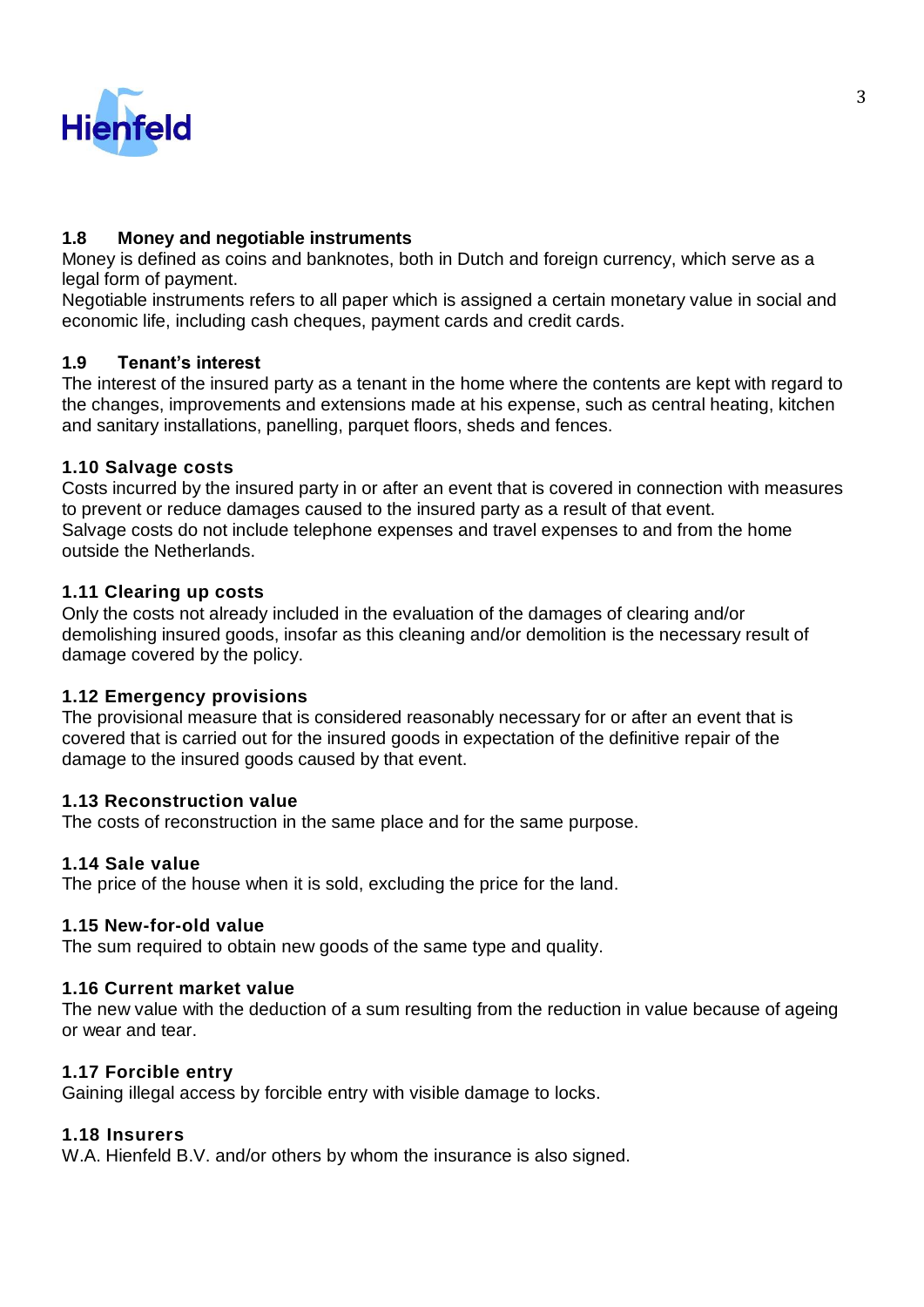

### **1.8 Money and negotiable instruments**

Money is defined as coins and banknotes, both in Dutch and foreign currency, which serve as a legal form of payment.

Negotiable instruments refers to all paper which is assigned a certain monetary value in social and economic life, including cash cheques, payment cards and credit cards.

### **1.9 Tenant's interest**

The interest of the insured party as a tenant in the home where the contents are kept with regard to the changes, improvements and extensions made at his expense, such as central heating, kitchen and sanitary installations, panelling, parquet floors, sheds and fences.

### **1.10 Salvage costs**

Costs incurred by the insured party in or after an event that is covered in connection with measures to prevent or reduce damages caused to the insured party as a result of that event. Salvage costs do not include telephone expenses and travel expenses to and from the home outside the Netherlands.

#### **1.11 Clearing up costs**

Only the costs not already included in the evaluation of the damages of clearing and/or demolishing insured goods, insofar as this cleaning and/or demolition is the necessary result of damage covered by the policy.

#### **1.12 Emergency provisions**

The provisional measure that is considered reasonably necessary for or after an event that is covered that is carried out for the insured goods in expectation of the definitive repair of the damage to the insured goods caused by that event.

#### **1.13 Reconstruction value**

The costs of reconstruction in the same place and for the same purpose.

#### **1.14 Sale value**

The price of the house when it is sold, excluding the price for the land.

#### **1.15 New-for-old value**

The sum required to obtain new goods of the same type and quality.

#### **1.16 Current market value**

The new value with the deduction of a sum resulting from the reduction in value because of ageing or wear and tear.

#### **1.17 Forcible entry**

Gaining illegal access by forcible entry with visible damage to locks.

## **1.18 Insurers**

W.A. Hienfeld B.V. and/or others by whom the insurance is also signed.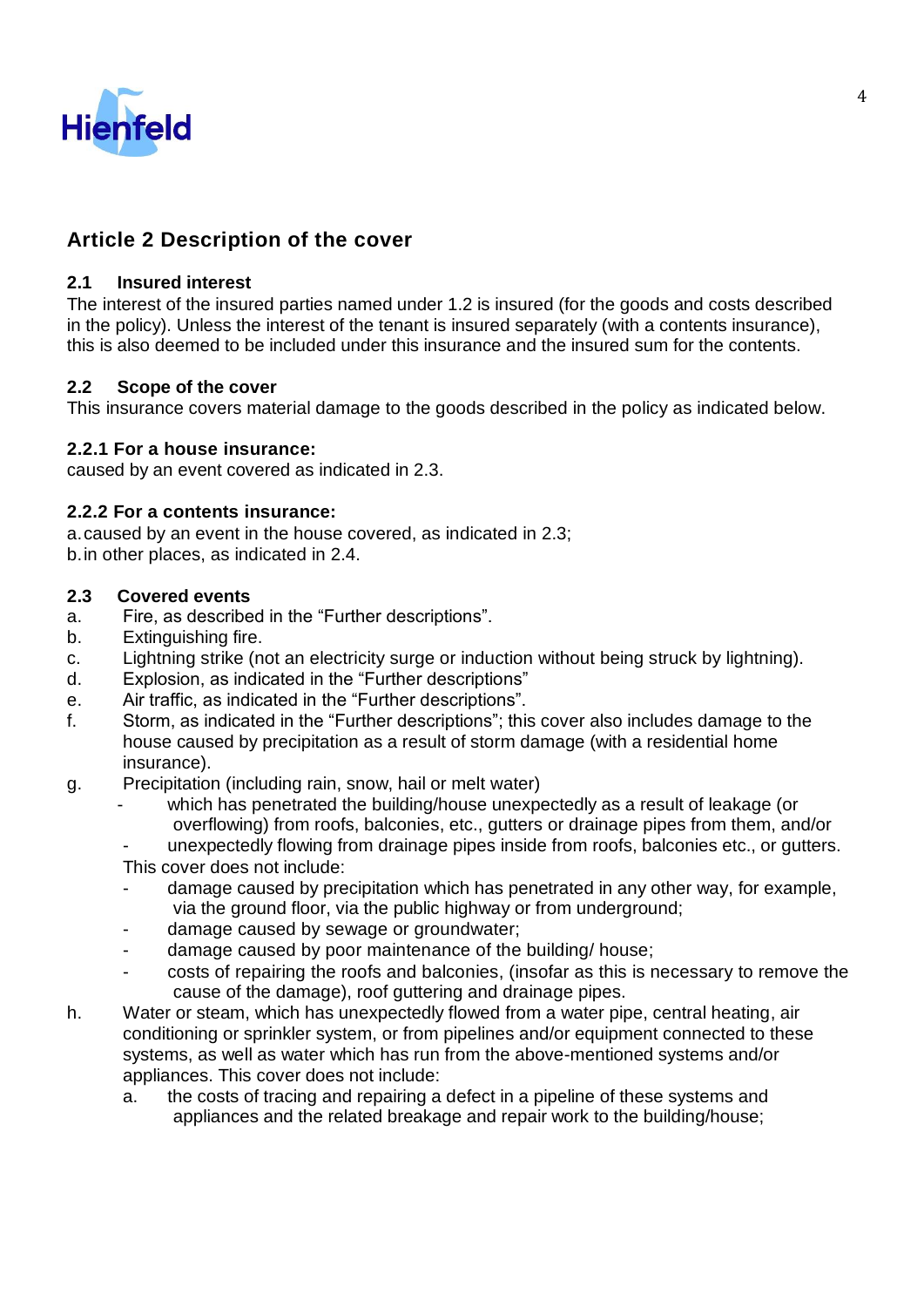

## **Article 2 Description of the cover**

## **2.1 Insured interest**

The interest of the insured parties named under 1.2 is insured (for the goods and costs described in the policy). Unless the interest of the tenant is insured separately (with a contents insurance), this is also deemed to be included under this insurance and the insured sum for the contents.

### **2.2 Scope of the cover**

This insurance covers material damage to the goods described in the policy as indicated below.

### **2.2.1 For a house insurance:**

caused by an event covered as indicated in 2.3.

### **2.2.2 For a contents insurance:**

a.caused by an event in the house covered, as indicated in 2.3; b.in other places, as indicated in 2.4.

#### **2.3 Covered events**

- a. Fire, as described in the "Further descriptions".
- b. Extinguishing fire.
- c. Lightning strike (not an electricity surge or induction without being struck by lightning).
- d. Explosion, as indicated in the "Further descriptions"
- e. Air traffic, as indicated in the "Further descriptions".
- f. Storm, as indicated in the "Further descriptions"; this cover also includes damage to the house caused by precipitation as a result of storm damage (with a residential home insurance).
- g. Precipitation (including rain, snow, hail or melt water)
	- which has penetrated the building/house unexpectedly as a result of leakage (or overflowing) from roofs, balconies, etc., gutters or drainage pipes from them, and/or
	- unexpectedly flowing from drainage pipes inside from roofs, balconies etc., or gutters.
	- This cover does not include:
	- damage caused by precipitation which has penetrated in any other way, for example, via the ground floor, via the public highway or from underground;
	- damage caused by sewage or groundwater;
	- damage caused by poor maintenance of the building/house;
	- costs of repairing the roofs and balconies, (insofar as this is necessary to remove the cause of the damage), roof guttering and drainage pipes.
- h. Water or steam, which has unexpectedly flowed from a water pipe, central heating, air conditioning or sprinkler system, or from pipelines and/or equipment connected to these systems, as well as water which has run from the above-mentioned systems and/or appliances. This cover does not include:
	- a. the costs of tracing and repairing a defect in a pipeline of these systems and appliances and the related breakage and repair work to the building/house;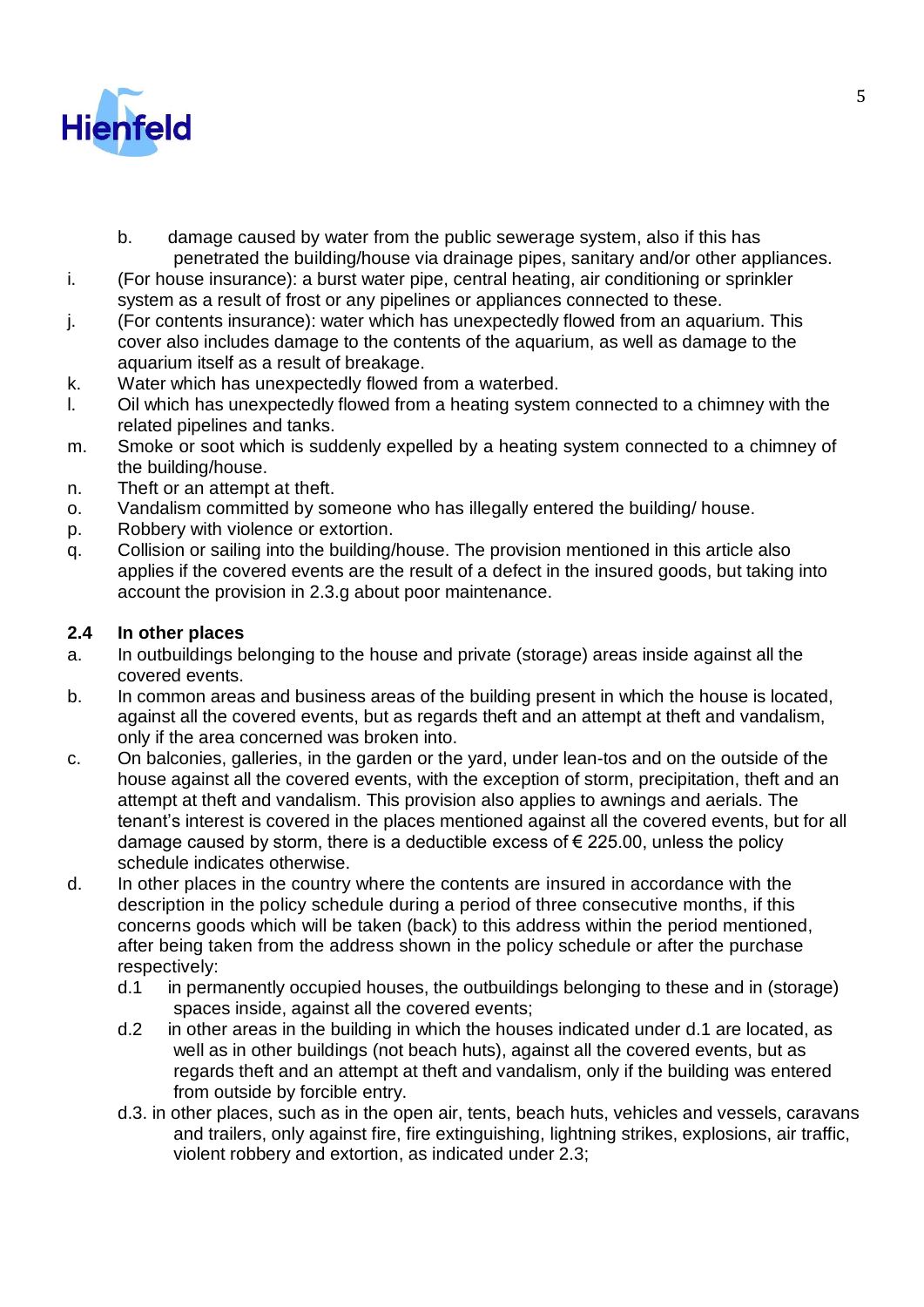

- b. damage caused by water from the public sewerage system, also if this has penetrated the building/house via drainage pipes, sanitary and/or other appliances.
- i. (For house insurance): a burst water pipe, central heating, air conditioning or sprinkler system as a result of frost or any pipelines or appliances connected to these.
- j. (For contents insurance): water which has unexpectedly flowed from an aquarium. This cover also includes damage to the contents of the aquarium, as well as damage to the aquarium itself as a result of breakage.
- k. Water which has unexpectedly flowed from a waterbed.
- l. Oil which has unexpectedly flowed from a heating system connected to a chimney with the related pipelines and tanks.
- m. Smoke or soot which is suddenly expelled by a heating system connected to a chimney of the building/house.
- n. Theft or an attempt at theft.
- o. Vandalism committed by someone who has illegally entered the building/ house.
- p. Robbery with violence or extortion.
- q. Collision or sailing into the building/house. The provision mentioned in this article also applies if the covered events are the result of a defect in the insured goods, but taking into account the provision in 2.3.g about poor maintenance.

### **2.4 In other places**

- a. In outbuildings belonging to the house and private (storage) areas inside against all the covered events.
- b. In common areas and business areas of the building present in which the house is located, against all the covered events, but as regards theft and an attempt at theft and vandalism, only if the area concerned was broken into.
- c. On balconies, galleries, in the garden or the yard, under lean-tos and on the outside of the house against all the covered events, with the exception of storm, precipitation, theft and an attempt at theft and vandalism. This provision also applies to awnings and aerials. The tenant's interest is covered in the places mentioned against all the covered events, but for all damage caused by storm, there is a deductible excess of  $\epsilon$  225.00, unless the policy schedule indicates otherwise.
- d. In other places in the country where the contents are insured in accordance with the description in the policy schedule during a period of three consecutive months, if this concerns goods which will be taken (back) to this address within the period mentioned, after being taken from the address shown in the policy schedule or after the purchase respectively:
	- d.1 in permanently occupied houses, the outbuildings belonging to these and in (storage) spaces inside, against all the covered events;
	- d.2 in other areas in the building in which the houses indicated under d.1 are located, as well as in other buildings (not beach huts), against all the covered events, but as regards theft and an attempt at theft and vandalism, only if the building was entered from outside by forcible entry.
	- d.3. in other places, such as in the open air, tents, beach huts, vehicles and vessels, caravans and trailers, only against fire, fire extinguishing, lightning strikes, explosions, air traffic, violent robbery and extortion, as indicated under 2.3;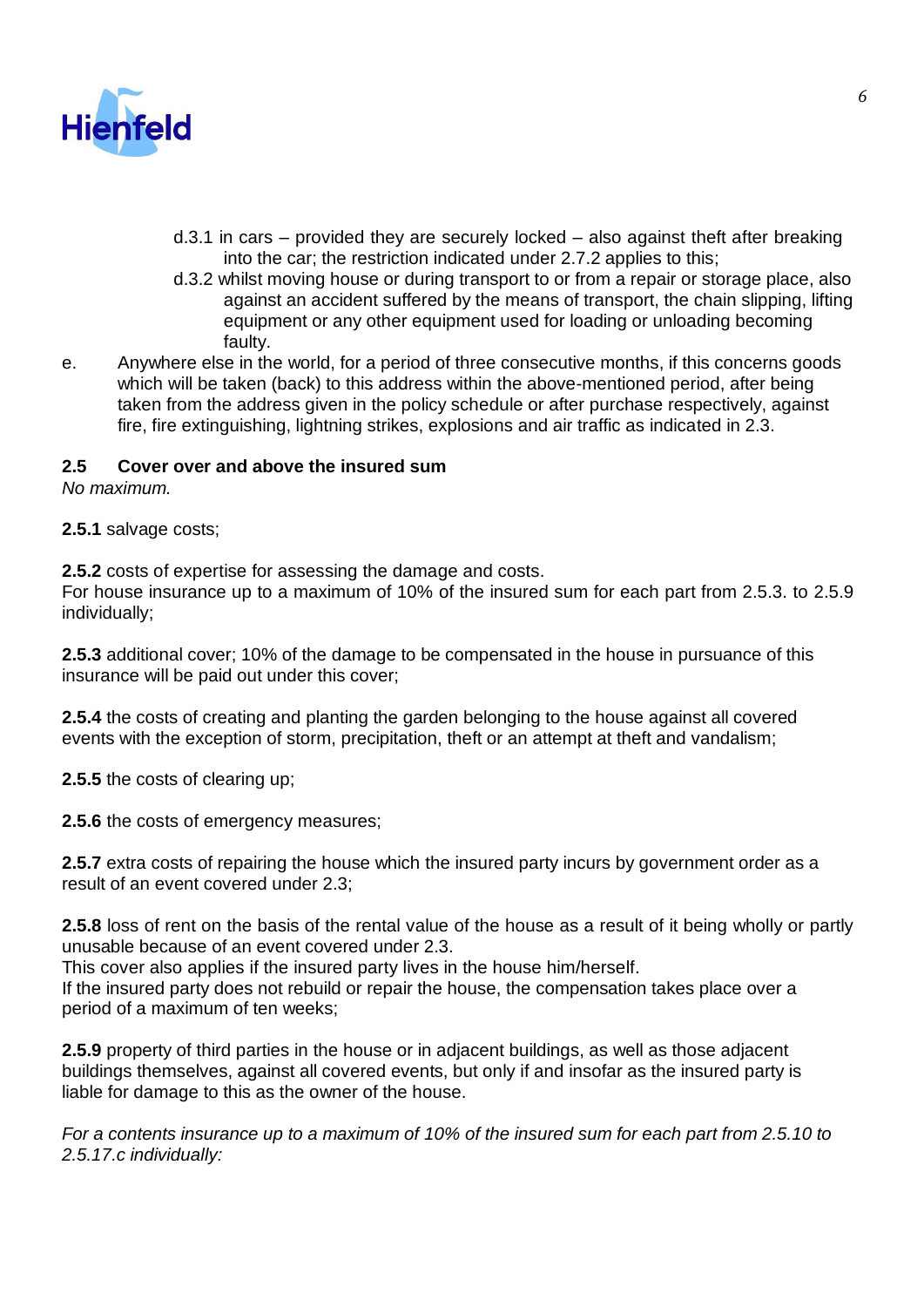

- d.3.1 in cars provided they are securely locked also against theft after breaking into the car; the restriction indicated under 2.7.2 applies to this;
- d.3.2 whilst moving house or during transport to or from a repair or storage place, also against an accident suffered by the means of transport, the chain slipping, lifting equipment or any other equipment used for loading or unloading becoming faulty.
- e. Anywhere else in the world, for a period of three consecutive months, if this concerns goods which will be taken (back) to this address within the above-mentioned period, after being taken from the address given in the policy schedule or after purchase respectively, against fire, fire extinguishing, lightning strikes, explosions and air traffic as indicated in 2.3.

### **2.5 Cover over and above the insured sum**

*No maximum.*

**2.5.1** salvage costs;

**2.5.2** costs of expertise for assessing the damage and costs.

For house insurance up to a maximum of 10% of the insured sum for each part from 2.5.3. to 2.5.9 individually;

**2.5.3** additional cover; 10% of the damage to be compensated in the house in pursuance of this insurance will be paid out under this cover;

**2.5.4** the costs of creating and planting the garden belonging to the house against all covered events with the exception of storm, precipitation, theft or an attempt at theft and vandalism;

**2.5.5** the costs of clearing up;

**2.5.6** the costs of emergency measures;

**2.5.7** extra costs of repairing the house which the insured party incurs by government order as a result of an event covered under 2.3;

**2.5.8** loss of rent on the basis of the rental value of the house as a result of it being wholly or partly unusable because of an event covered under 2.3.

This cover also applies if the insured party lives in the house him/herself.

If the insured party does not rebuild or repair the house, the compensation takes place over a period of a maximum of ten weeks;

**2.5.9** property of third parties in the house or in adjacent buildings, as well as those adjacent buildings themselves, against all covered events, but only if and insofar as the insured party is liable for damage to this as the owner of the house.

*For a contents insurance up to a maximum of 10% of the insured sum for each part from 2.5.10 to 2.5.17.c individually:*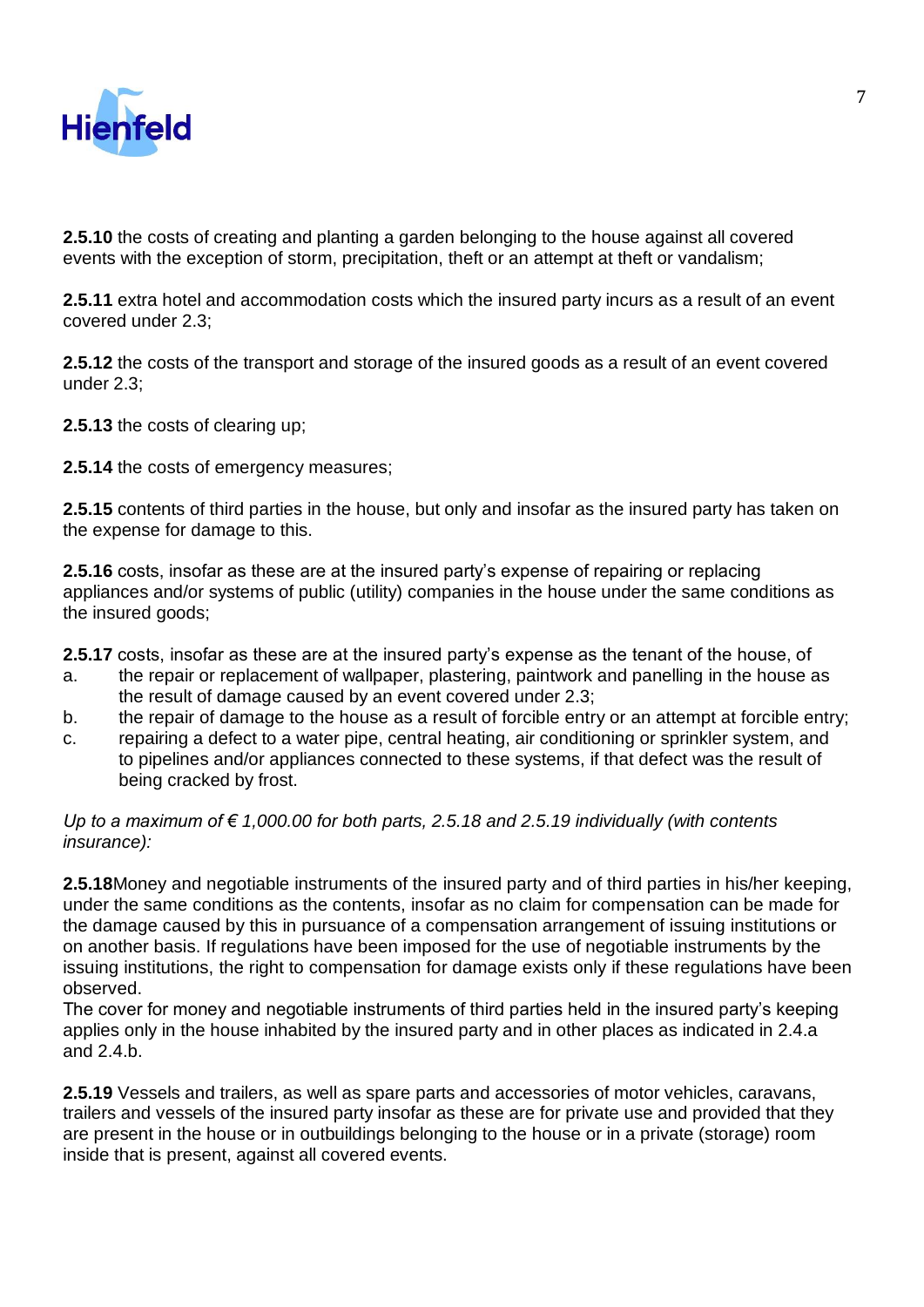

**2.5.10** the costs of creating and planting a garden belonging to the house against all covered events with the exception of storm, precipitation, theft or an attempt at theft or vandalism;

**2.5.11** extra hotel and accommodation costs which the insured party incurs as a result of an event covered under 2.3;

**2.5.12** the costs of the transport and storage of the insured goods as a result of an event covered under 2.3;

**2.5.13** the costs of clearing up;

**2.5.14** the costs of emergency measures;

**2.5.15** contents of third parties in the house, but only and insofar as the insured party has taken on the expense for damage to this.

**2.5.16** costs, insofar as these are at the insured party's expense of repairing or replacing appliances and/or systems of public (utility) companies in the house under the same conditions as the insured goods;

**2.5.17** costs, insofar as these are at the insured party's expense as the tenant of the house, of

- a. the repair or replacement of wallpaper, plastering, paintwork and panelling in the house as the result of damage caused by an event covered under 2.3;
- b. the repair of damage to the house as a result of forcible entry or an attempt at forcible entry;
- c. repairing a defect to a water pipe, central heating, air conditioning or sprinkler system, and to pipelines and/or appliances connected to these systems, if that defect was the result of being cracked by frost.

*Up to a maximum of € 1,000.00 for both parts, 2.5.18 and 2.5.19 individually (with contents insurance):*

**2.5.18**Money and negotiable instruments of the insured party and of third parties in his/her keeping, under the same conditions as the contents, insofar as no claim for compensation can be made for the damage caused by this in pursuance of a compensation arrangement of issuing institutions or on another basis. If regulations have been imposed for the use of negotiable instruments by the issuing institutions, the right to compensation for damage exists only if these regulations have been observed.

The cover for money and negotiable instruments of third parties held in the insured party's keeping applies only in the house inhabited by the insured party and in other places as indicated in 2.4.a and 2.4.b.

**2.5.19** Vessels and trailers, as well as spare parts and accessories of motor vehicles, caravans, trailers and vessels of the insured party insofar as these are for private use and provided that they are present in the house or in outbuildings belonging to the house or in a private (storage) room inside that is present, against all covered events.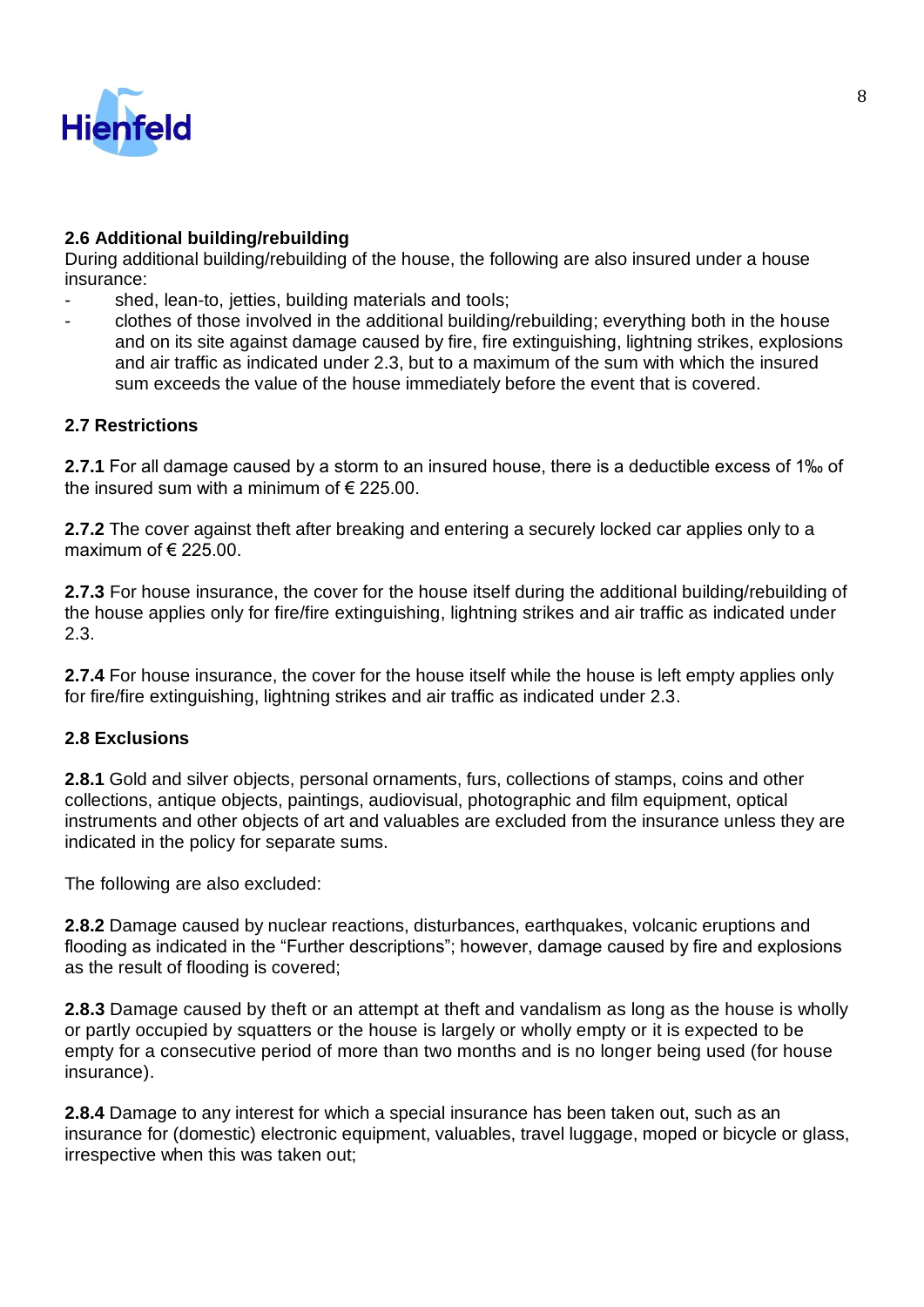

## **2.6 Additional building/rebuilding**

During additional building/rebuilding of the house, the following are also insured under a house insurance:

- shed, lean-to, jetties, building materials and tools;
- clothes of those involved in the additional building/rebuilding; everything both in the house and on its site against damage caused by fire, fire extinguishing, lightning strikes, explosions and air traffic as indicated under 2.3, but to a maximum of the sum with which the insured sum exceeds the value of the house immediately before the event that is covered.

## **2.7 Restrictions**

**2.7.1** For all damage caused by a storm to an insured house, there is a deductible excess of 1‰ of the insured sum with a minimum of  $\epsilon$  225.00.

**2.7.2** The cover against theft after breaking and entering a securely locked car applies only to a maximum of  $\epsilon$  225.00

**2.7.3** For house insurance, the cover for the house itself during the additional building/rebuilding of the house applies only for fire/fire extinguishing, lightning strikes and air traffic as indicated under 2.3.

**2.7.4** For house insurance, the cover for the house itself while the house is left empty applies only for fire/fire extinguishing, lightning strikes and air traffic as indicated under 2.3.

## **2.8 Exclusions**

**2.8.1** Gold and silver objects, personal ornaments, furs, collections of stamps, coins and other collections, antique objects, paintings, audiovisual, photographic and film equipment, optical instruments and other objects of art and valuables are excluded from the insurance unless they are indicated in the policy for separate sums.

The following are also excluded:

**2.8.2** Damage caused by nuclear reactions, disturbances, earthquakes, volcanic eruptions and flooding as indicated in the "Further descriptions"; however, damage caused by fire and explosions as the result of flooding is covered;

**2.8.3** Damage caused by theft or an attempt at theft and vandalism as long as the house is wholly or partly occupied by squatters or the house is largely or wholly empty or it is expected to be empty for a consecutive period of more than two months and is no longer being used (for house insurance).

**2.8.4** Damage to any interest for which a special insurance has been taken out, such as an insurance for (domestic) electronic equipment, valuables, travel luggage, moped or bicycle or glass, irrespective when this was taken out;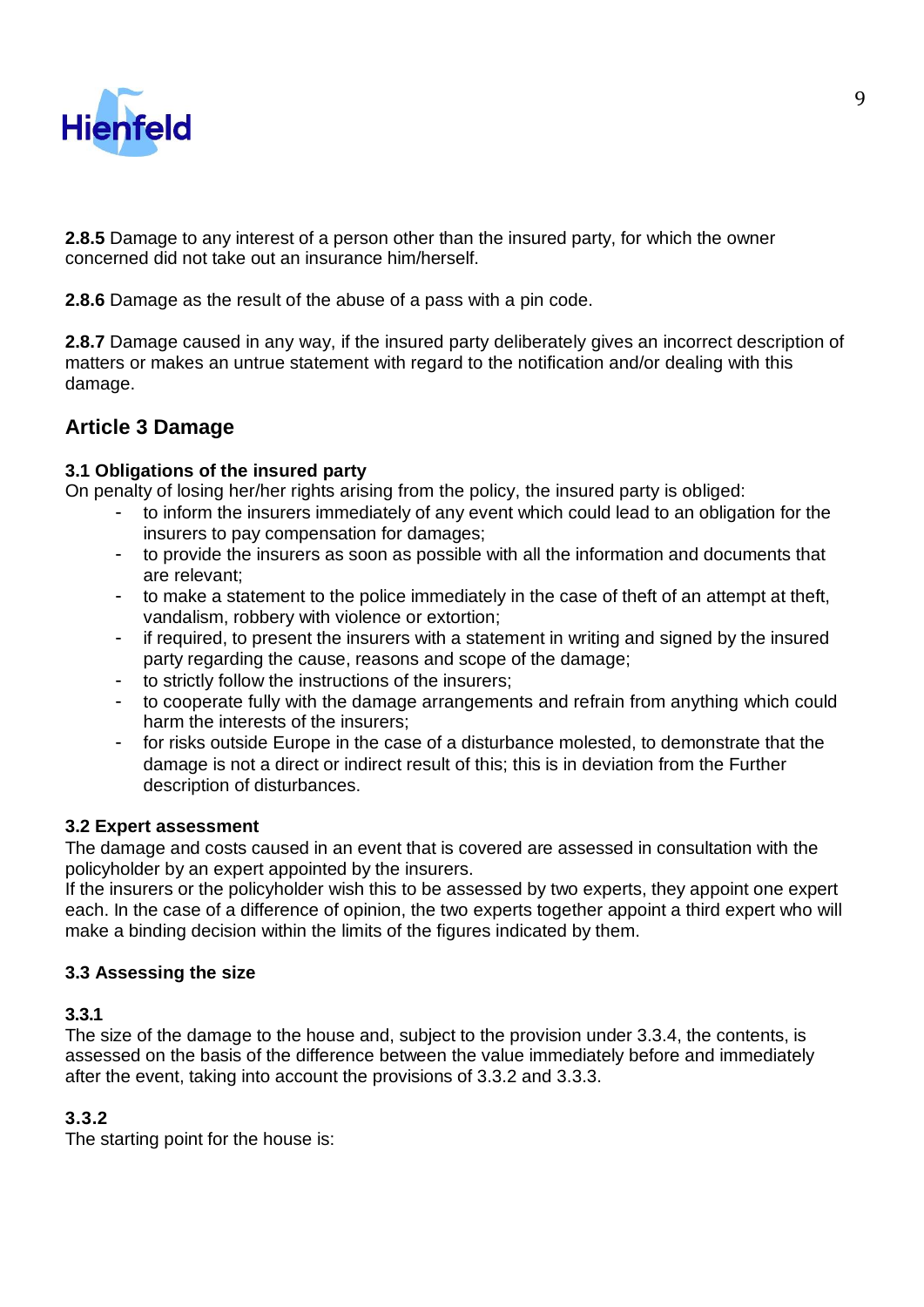

**2.8.5** Damage to any interest of a person other than the insured party, for which the owner concerned did not take out an insurance him/herself.

**2.8.6** Damage as the result of the abuse of a pass with a pin code.

**2.8.7** Damage caused in any way, if the insured party deliberately gives an incorrect description of matters or makes an untrue statement with regard to the notification and/or dealing with this damage.

## **Article 3 Damage**

### **3.1 Obligations of the insured party**

On penalty of losing her/her rights arising from the policy, the insured party is obliged:

- to inform the insurers immediately of any event which could lead to an obligation for the insurers to pay compensation for damages;
- to provide the insurers as soon as possible with all the information and documents that are relevant;
- to make a statement to the police immediately in the case of theft of an attempt at theft, vandalism, robbery with violence or extortion;
- if required, to present the insurers with a statement in writing and signed by the insured party regarding the cause, reasons and scope of the damage;
- to strictly follow the instructions of the insurers;
- to cooperate fully with the damage arrangements and refrain from anything which could harm the interests of the insurers;
- for risks outside Europe in the case of a disturbance molested, to demonstrate that the damage is not a direct or indirect result of this; this is in deviation from the Further description of disturbances.

#### **3.2 Expert assessment**

The damage and costs caused in an event that is covered are assessed in consultation with the policyholder by an expert appointed by the insurers.

If the insurers or the policyholder wish this to be assessed by two experts, they appoint one expert each. In the case of a difference of opinion, the two experts together appoint a third expert who will make a binding decision within the limits of the figures indicated by them.

#### **3.3 Assessing the size**

#### **3.3.1**

The size of the damage to the house and, subject to the provision under 3.3.4, the contents, is assessed on the basis of the difference between the value immediately before and immediately after the event, taking into account the provisions of 3.3.2 and 3.3.3.

## **3.3.2**

The starting point for the house is: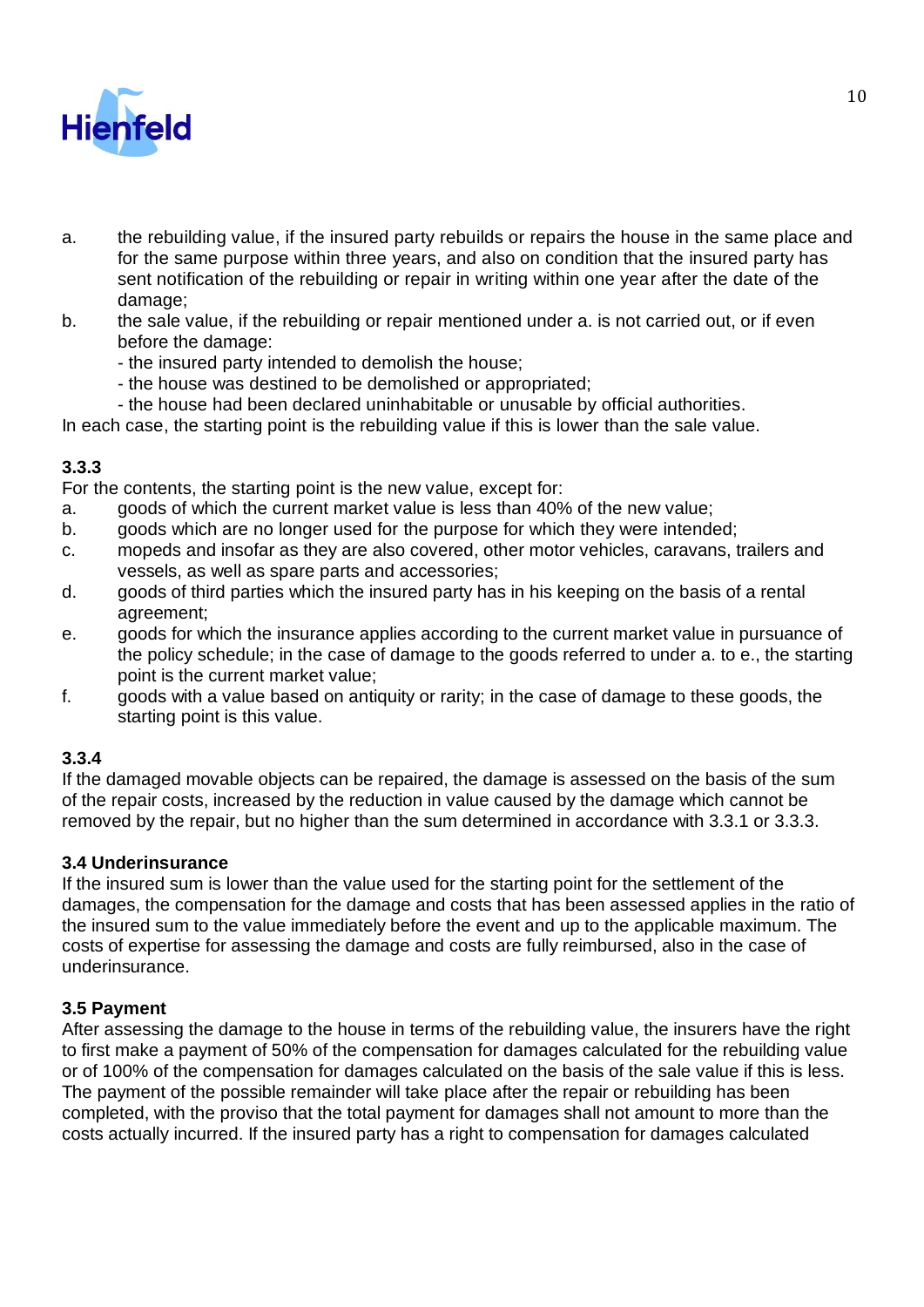

- a. the rebuilding value, if the insured party rebuilds or repairs the house in the same place and for the same purpose within three years, and also on condition that the insured party has sent notification of the rebuilding or repair in writing within one year after the date of the damage;
- b. the sale value, if the rebuilding or repair mentioned under a. is not carried out, or if even before the damage:
	- the insured party intended to demolish the house;
	- the house was destined to be demolished or appropriated;
	- the house had been declared uninhabitable or unusable by official authorities.

In each case, the starting point is the rebuilding value if this is lower than the sale value.

## **3.3.3**

For the contents, the starting point is the new value, except for:

- a. goods of which the current market value is less than 40% of the new value;
- b. goods which are no longer used for the purpose for which they were intended;
- c. mopeds and insofar as they are also covered, other motor vehicles, caravans, trailers and vessels, as well as spare parts and accessories;
- d. goods of third parties which the insured party has in his keeping on the basis of a rental agreement;
- e. goods for which the insurance applies according to the current market value in pursuance of the policy schedule; in the case of damage to the goods referred to under a. to e., the starting point is the current market value;
- f. goods with a value based on antiquity or rarity; in the case of damage to these goods, the starting point is this value.

## **3.3.4**

If the damaged movable objects can be repaired, the damage is assessed on the basis of the sum of the repair costs, increased by the reduction in value caused by the damage which cannot be removed by the repair, but no higher than the sum determined in accordance with 3.3.1 or 3.3.3.

#### **3.4 Underinsurance**

If the insured sum is lower than the value used for the starting point for the settlement of the damages, the compensation for the damage and costs that has been assessed applies in the ratio of the insured sum to the value immediately before the event and up to the applicable maximum. The costs of expertise for assessing the damage and costs are fully reimbursed, also in the case of underinsurance.

#### **3.5 Payment**

After assessing the damage to the house in terms of the rebuilding value, the insurers have the right to first make a payment of 50% of the compensation for damages calculated for the rebuilding value or of 100% of the compensation for damages calculated on the basis of the sale value if this is less. The payment of the possible remainder will take place after the repair or rebuilding has been completed, with the proviso that the total payment for damages shall not amount to more than the costs actually incurred. If the insured party has a right to compensation for damages calculated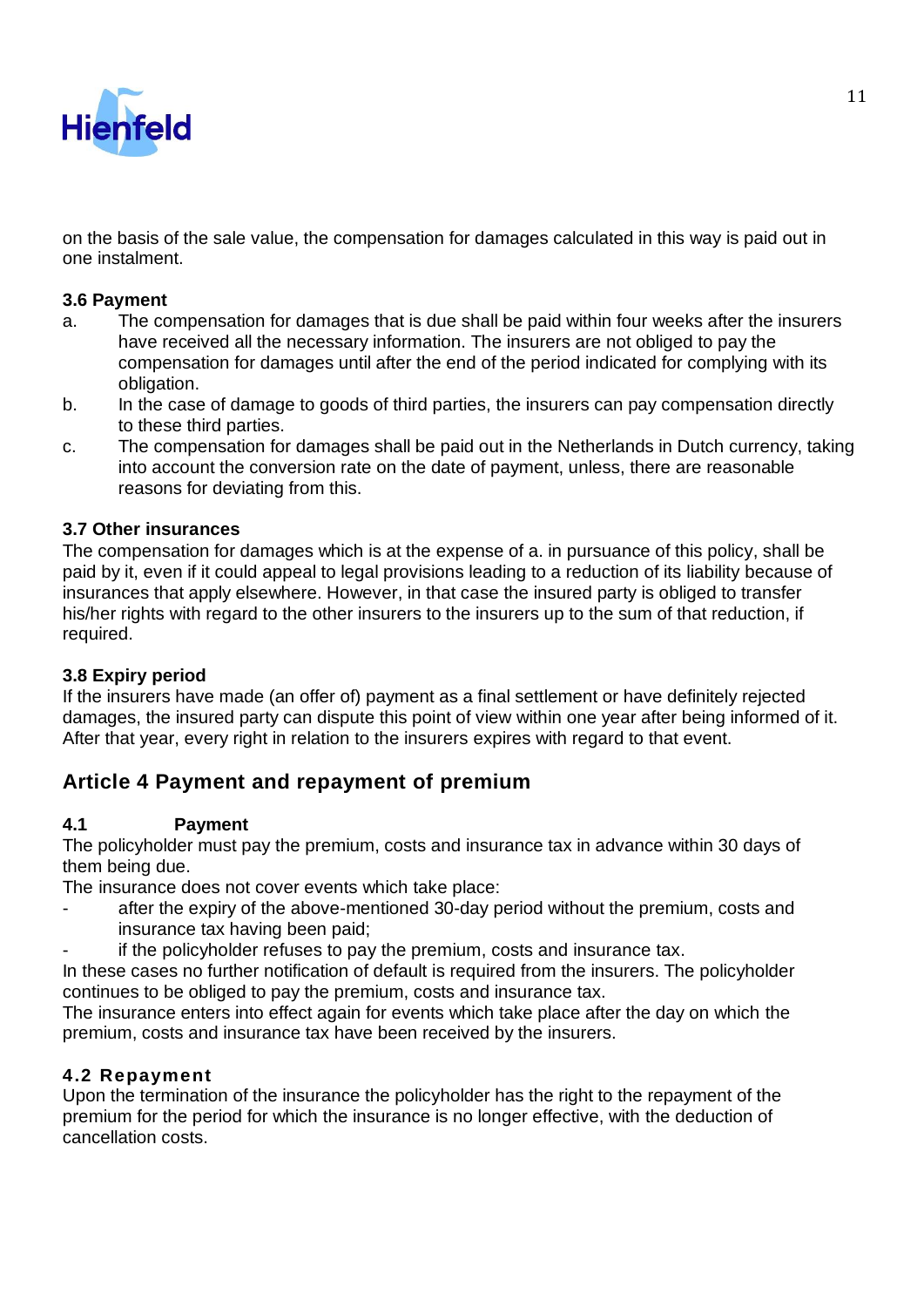

on the basis of the sale value, the compensation for damages calculated in this way is paid out in one instalment.

### **3.6 Payment**

- a. The compensation for damages that is due shall be paid within four weeks after the insurers have received all the necessary information. The insurers are not obliged to pay the compensation for damages until after the end of the period indicated for complying with its obligation.
- b. In the case of damage to goods of third parties, the insurers can pay compensation directly to these third parties.
- c. The compensation for damages shall be paid out in the Netherlands in Dutch currency, taking into account the conversion rate on the date of payment, unless, there are reasonable reasons for deviating from this.

#### **3.7 Other insurances**

The compensation for damages which is at the expense of a. in pursuance of this policy, shall be paid by it, even if it could appeal to legal provisions leading to a reduction of its liability because of insurances that apply elsewhere. However, in that case the insured party is obliged to transfer his/her rights with regard to the other insurers to the insurers up to the sum of that reduction, if required.

#### **3.8 Expiry period**

If the insurers have made (an offer of) payment as a final settlement or have definitely rejected damages, the insured party can dispute this point of view within one year after being informed of it. After that year, every right in relation to the insurers expires with regard to that event.

## **Article 4 Payment and repayment of premium**

#### **4.1 Payment**

The policyholder must pay the premium, costs and insurance tax in advance within 30 days of them being due.

The insurance does not cover events which take place:

- after the expiry of the above-mentioned 30-day period without the premium, costs and insurance tax having been paid;
	- if the policyholder refuses to pay the premium, costs and insurance tax.

In these cases no further notification of default is required from the insurers. The policyholder continues to be obliged to pay the premium, costs and insurance tax.

The insurance enters into effect again for events which take place after the day on which the premium, costs and insurance tax have been received by the insurers.

## **4.2 Repayment**

Upon the termination of the insurance the policyholder has the right to the repayment of the premium for the period for which the insurance is no longer effective, with the deduction of cancellation costs.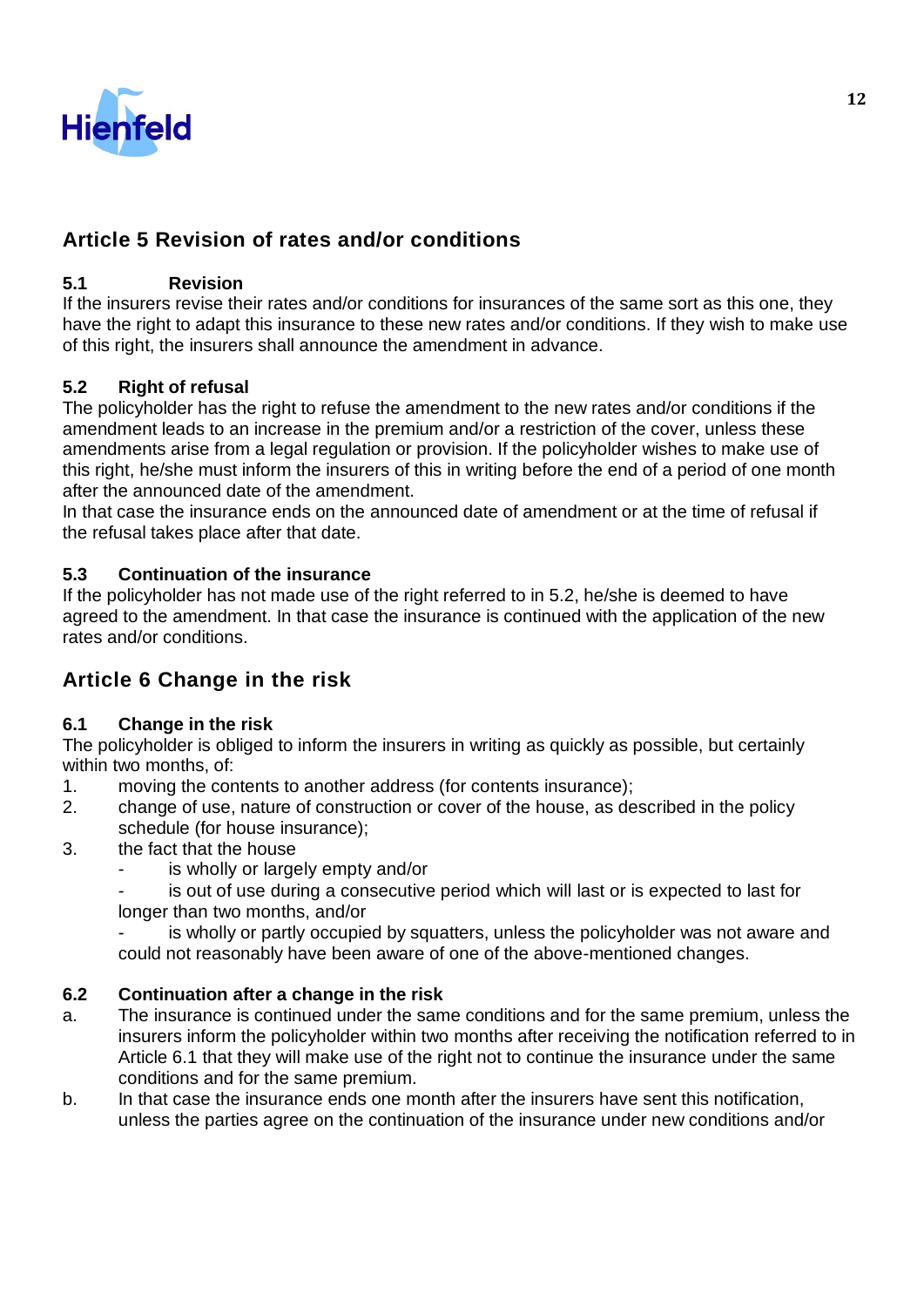

## **Article 5 Revision of rates and/or conditions**

## **5.1 Revision**

If the insurers revise their rates and/or conditions for insurances of the same sort as this one, they have the right to adapt this insurance to these new rates and/or conditions. If they wish to make use of this right, the insurers shall announce the amendment in advance.

## **5.2 Right of refusal**

The policyholder has the right to refuse the amendment to the new rates and/or conditions if the amendment leads to an increase in the premium and/or a restriction of the cover, unless these amendments arise from a legal regulation or provision. If the policyholder wishes to make use of this right, he/she must inform the insurers of this in writing before the end of a period of one month after the announced date of the amendment.

In that case the insurance ends on the announced date of amendment or at the time of refusal if the refusal takes place after that date.

## **5.3 Continuation of the insurance**

If the policyholder has not made use of the right referred to in 5.2, he/she is deemed to have agreed to the amendment. In that case the insurance is continued with the application of the new rates and/or conditions.

## **Article 6 Change in the risk**

## **6.1 Change in the risk**

The policyholder is obliged to inform the insurers in writing as quickly as possible, but certainly within two months, of:

- 1. moving the contents to another address (for contents insurance);
- 2. change of use, nature of construction or cover of the house, as described in the policy schedule (for house insurance);
- 3. the fact that the house
	- is wholly or largely empty and/or
	- is out of use during a consecutive period which will last or is expected to last for longer than two months, and/or

is wholly or partly occupied by squatters, unless the policyholder was not aware and could not reasonably have been aware of one of the above-mentioned changes.

## **6.2 Continuation after a change in the risk**

- a. The insurance is continued under the same conditions and for the same premium, unless the insurers inform the policyholder within two months after receiving the notification referred to in Article 6.1 that they will make use of the right not to continue the insurance under the same conditions and for the same premium.
- b. In that case the insurance ends one month after the insurers have sent this notification, unless the parties agree on the continuation of the insurance under new conditions and/or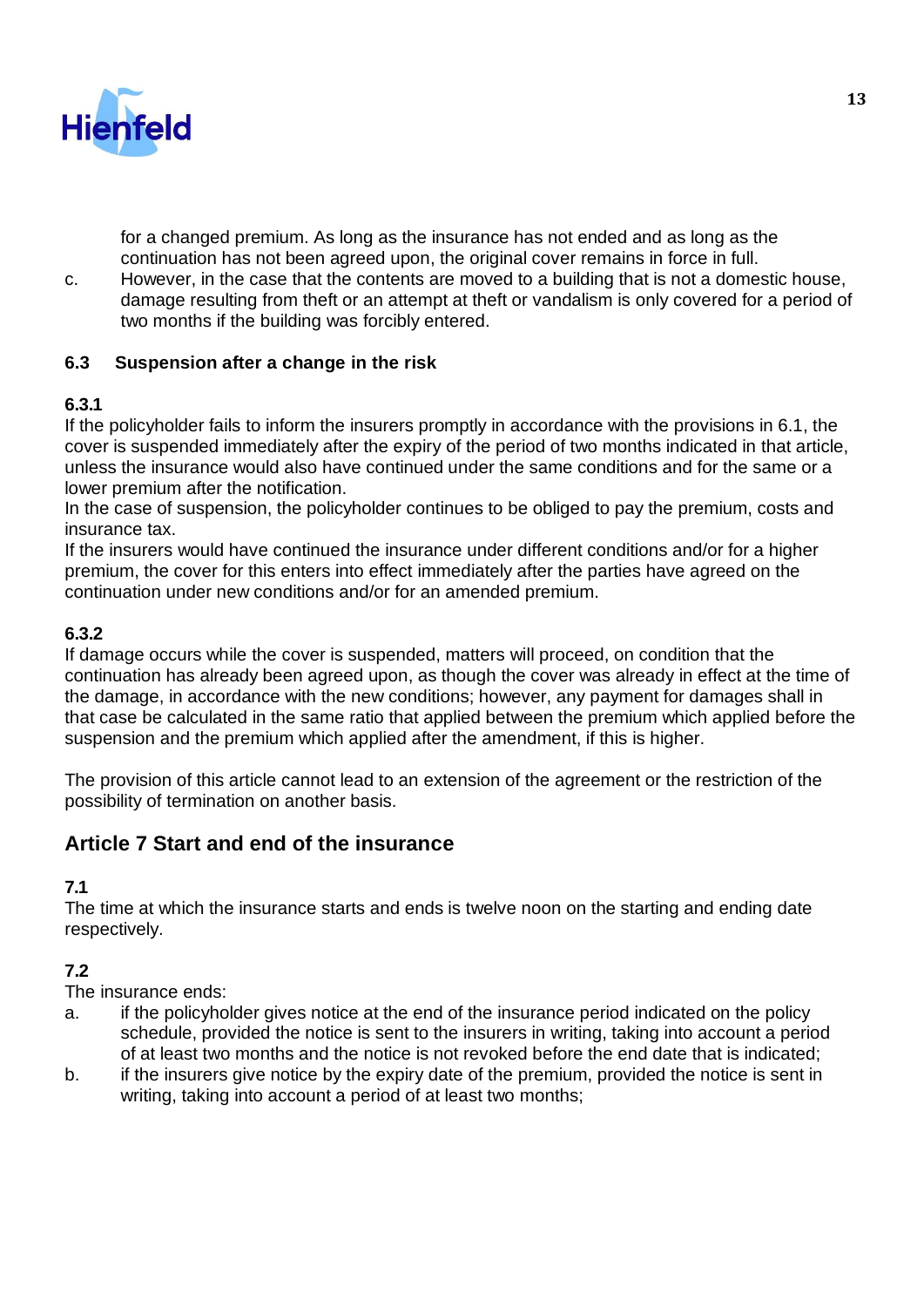

for a changed premium. As long as the insurance has not ended and as long as the continuation has not been agreed upon, the original cover remains in force in full.

c. However, in the case that the contents are moved to a building that is not a domestic house, damage resulting from theft or an attempt at theft or vandalism is only covered for a period of two months if the building was forcibly entered.

## **6.3 Suspension after a change in the risk**

## **6.3.1**

If the policyholder fails to inform the insurers promptly in accordance with the provisions in 6.1, the cover is suspended immediately after the expiry of the period of two months indicated in that article, unless the insurance would also have continued under the same conditions and for the same or a lower premium after the notification.

In the case of suspension, the policyholder continues to be obliged to pay the premium, costs and insurance tax.

If the insurers would have continued the insurance under different conditions and/or for a higher premium, the cover for this enters into effect immediately after the parties have agreed on the continuation under new conditions and/or for an amended premium.

## **6.3.2**

If damage occurs while the cover is suspended, matters will proceed, on condition that the continuation has already been agreed upon, as though the cover was already in effect at the time of the damage, in accordance with the new conditions; however, any payment for damages shall in that case be calculated in the same ratio that applied between the premium which applied before the suspension and the premium which applied after the amendment, if this is higher.

The provision of this article cannot lead to an extension of the agreement or the restriction of the possibility of termination on another basis.

## **Article 7 Start and end of the insurance**

## **7.1**

The time at which the insurance starts and ends is twelve noon on the starting and ending date respectively.

## **7.2**

The insurance ends:

- a. if the policyholder gives notice at the end of the insurance period indicated on the policy schedule, provided the notice is sent to the insurers in writing, taking into account a period of at least two months and the notice is not revoked before the end date that is indicated;
- b. if the insurers give notice by the expiry date of the premium, provided the notice is sent in writing, taking into account a period of at least two months;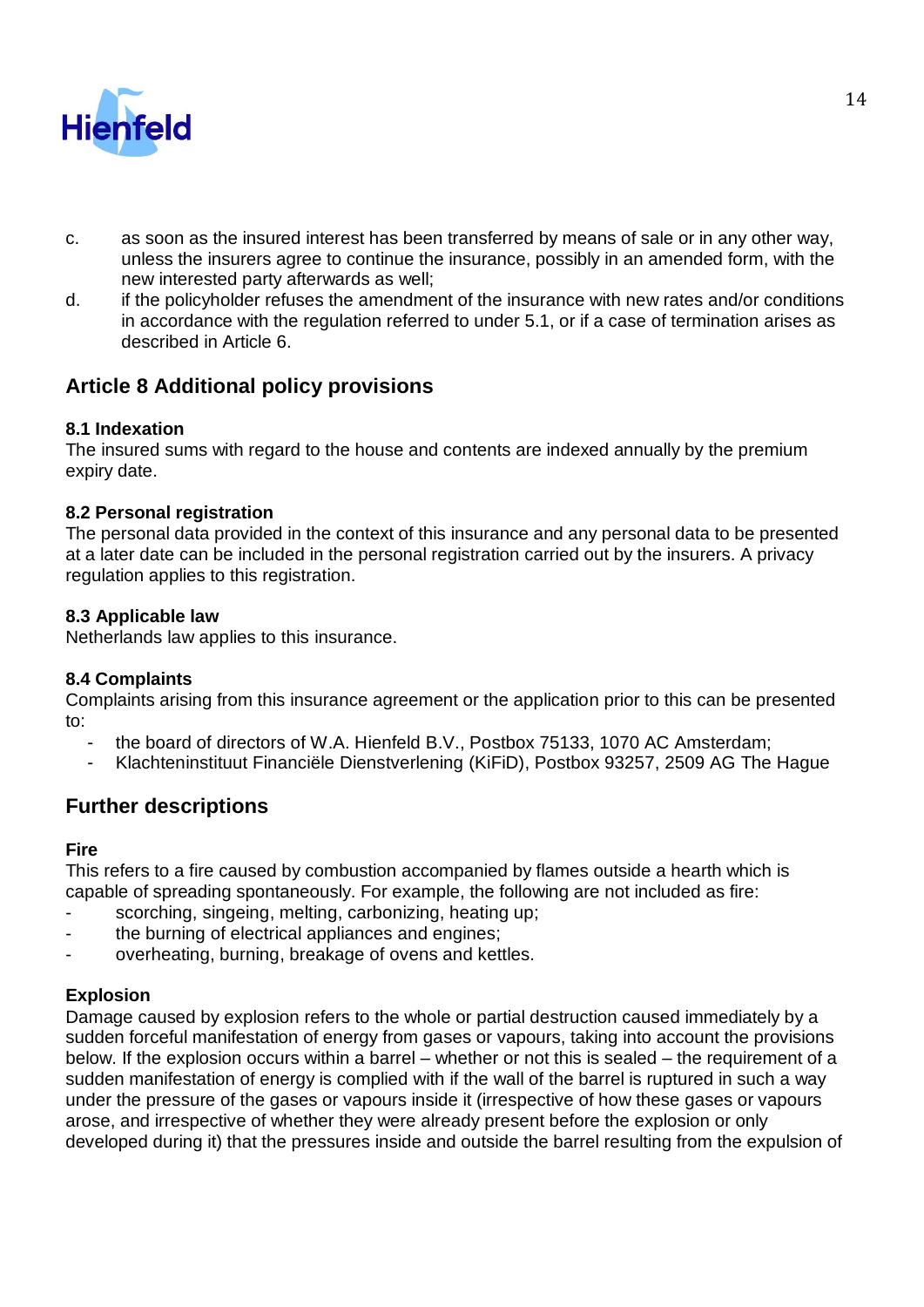

- c. as soon as the insured interest has been transferred by means of sale or in any other way, unless the insurers agree to continue the insurance, possibly in an amended form, with the new interested party afterwards as well;
- d. if the policyholder refuses the amendment of the insurance with new rates and/or conditions in accordance with the regulation referred to under 5.1, or if a case of termination arises as described in Article 6.

## **Article 8 Additional policy provisions**

## **8.1 Indexation**

The insured sums with regard to the house and contents are indexed annually by the premium expiry date.

## **8.2 Personal registration**

The personal data provided in the context of this insurance and any personal data to be presented at a later date can be included in the personal registration carried out by the insurers. A privacy regulation applies to this registration.

## **8.3 Applicable law**

Netherlands law applies to this insurance.

## **8.4 Complaints**

Complaints arising from this insurance agreement or the application prior to this can be presented to:

- the board of directors of W.A. Hienfeld B.V., Postbox 75133, 1070 AC Amsterdam;
- Klachteninstituut Financiële Dienstverlening (KiFiD), Postbox 93257, 2509 AG The Hague

## **Further descriptions**

#### **Fire**

This refers to a fire caused by combustion accompanied by flames outside a hearth which is capable of spreading spontaneously. For example, the following are not included as fire:

- scorching, singeing, melting, carbonizing, heating up;
- the burning of electrical appliances and engines;
- overheating, burning, breakage of ovens and kettles.

## **Explosion**

Damage caused by explosion refers to the whole or partial destruction caused immediately by a sudden forceful manifestation of energy from gases or vapours, taking into account the provisions below. If the explosion occurs within a barrel – whether or not this is sealed – the requirement of a sudden manifestation of energy is complied with if the wall of the barrel is ruptured in such a way under the pressure of the gases or vapours inside it (irrespective of how these gases or vapours arose, and irrespective of whether they were already present before the explosion or only developed during it) that the pressures inside and outside the barrel resulting from the expulsion of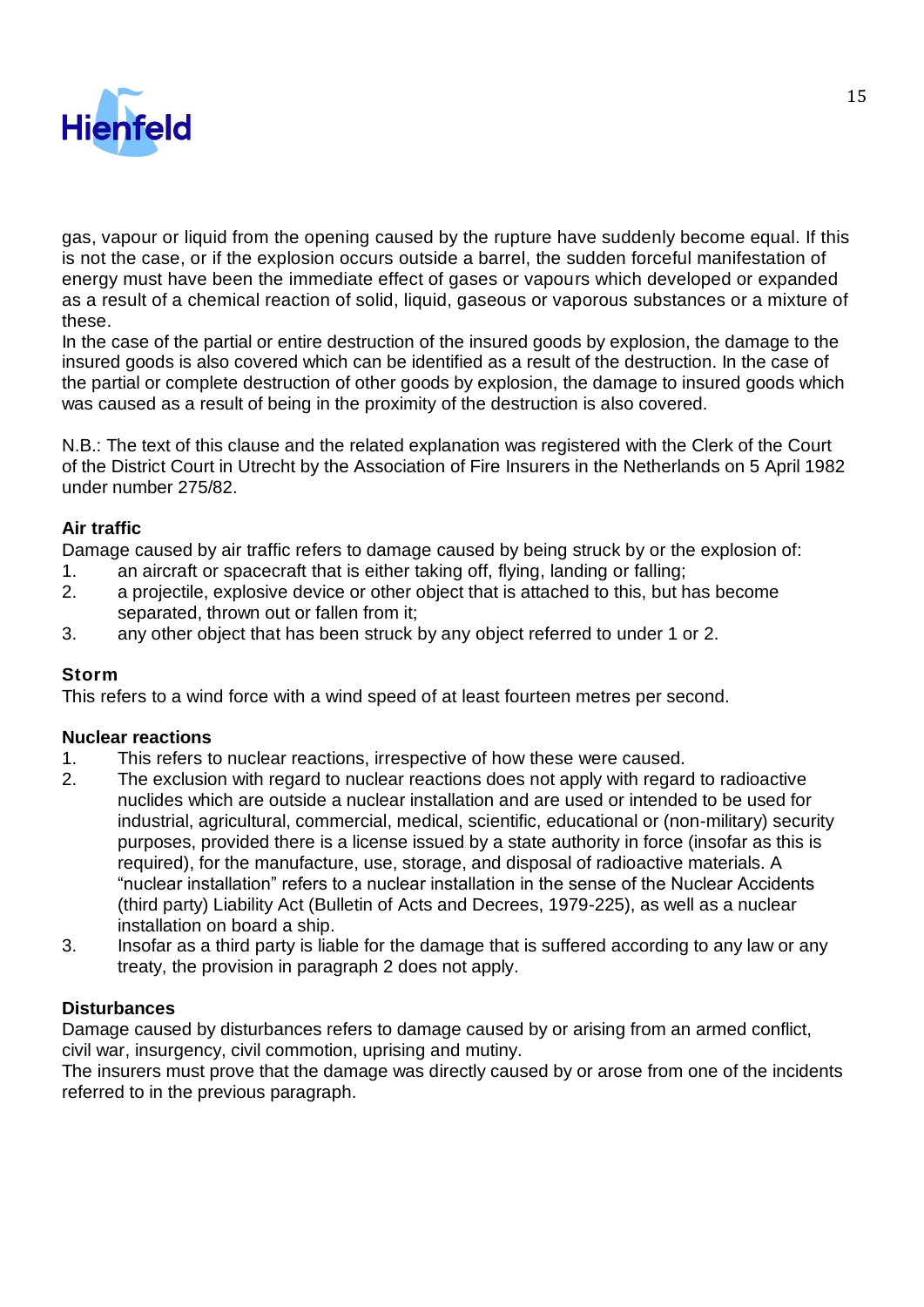

gas, vapour or liquid from the opening caused by the rupture have suddenly become equal. If this is not the case, or if the explosion occurs outside a barrel, the sudden forceful manifestation of energy must have been the immediate effect of gases or vapours which developed or expanded as a result of a chemical reaction of solid, liquid, gaseous or vaporous substances or a mixture of these.

In the case of the partial or entire destruction of the insured goods by explosion, the damage to the insured goods is also covered which can be identified as a result of the destruction. In the case of the partial or complete destruction of other goods by explosion, the damage to insured goods which was caused as a result of being in the proximity of the destruction is also covered.

N.B.: The text of this clause and the related explanation was registered with the Clerk of the Court of the District Court in Utrecht by the Association of Fire Insurers in the Netherlands on 5 April 1982 under number 275/82.

### **Air traffic**

Damage caused by air traffic refers to damage caused by being struck by or the explosion of:

- 1. an aircraft or spacecraft that is either taking off, flying, landing or falling;
- 2. a projectile, explosive device or other object that is attached to this, but has become separated, thrown out or fallen from it;
- 3. any other object that has been struck by any object referred to under 1 or 2.

#### **Storm**

This refers to a wind force with a wind speed of at least fourteen metres per second.

#### **Nuclear reactions**

- 1. This refers to nuclear reactions, irrespective of how these were caused.
- 2. The exclusion with regard to nuclear reactions does not apply with regard to radioactive nuclides which are outside a nuclear installation and are used or intended to be used for industrial, agricultural, commercial, medical, scientific, educational or (non-military) security purposes, provided there is a license issued by a state authority in force (insofar as this is required), for the manufacture, use, storage, and disposal of radioactive materials. A "nuclear installation" refers to a nuclear installation in the sense of the Nuclear Accidents (third party) Liability Act (Bulletin of Acts and Decrees, 1979-225), as well as a nuclear installation on board a ship.
- 3. Insofar as a third party is liable for the damage that is suffered according to any law or any treaty, the provision in paragraph 2 does not apply.

#### **Disturbances**

Damage caused by disturbances refers to damage caused by or arising from an armed conflict, civil war, insurgency, civil commotion, uprising and mutiny.

The insurers must prove that the damage was directly caused by or arose from one of the incidents referred to in the previous paragraph.